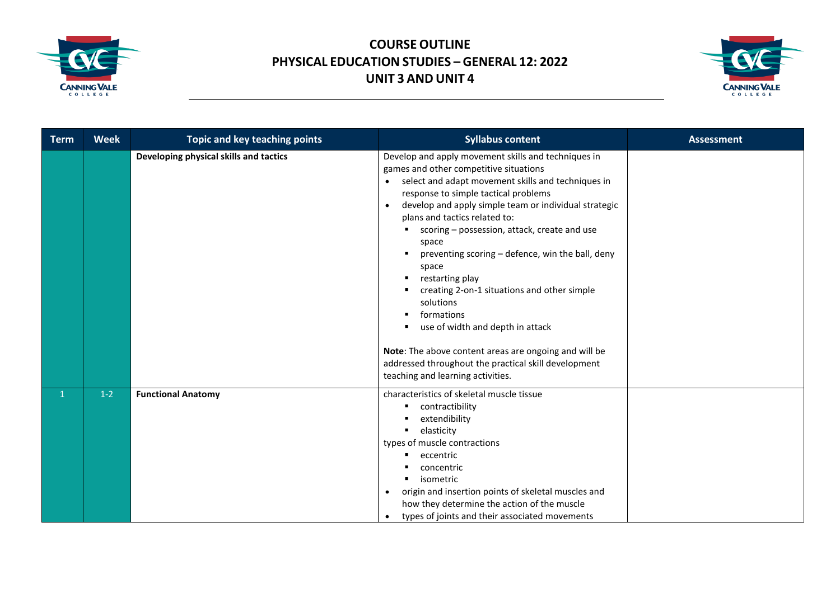



| <b>Term</b> | <b>Week</b> | Topic and key teaching points          | <b>Syllabus content</b>                                                                                                                                                                                                                                                                                                                                                                                                                                                                                                                                                                                                                                                                                                      | <b>Assessment</b> |
|-------------|-------------|----------------------------------------|------------------------------------------------------------------------------------------------------------------------------------------------------------------------------------------------------------------------------------------------------------------------------------------------------------------------------------------------------------------------------------------------------------------------------------------------------------------------------------------------------------------------------------------------------------------------------------------------------------------------------------------------------------------------------------------------------------------------------|-------------------|
|             |             | Developing physical skills and tactics | Develop and apply movement skills and techniques in<br>games and other competitive situations<br>select and adapt movement skills and techniques in<br>$\bullet$<br>response to simple tactical problems<br>develop and apply simple team or individual strategic<br>$\bullet$<br>plans and tactics related to:<br>scoring - possession, attack, create and use<br>space<br>preventing scoring - defence, win the ball, deny<br>space<br>restarting play<br>creating 2-on-1 situations and other simple<br>solutions<br>formations<br>use of width and depth in attack<br>Note: The above content areas are ongoing and will be<br>addressed throughout the practical skill development<br>teaching and learning activities. |                   |
|             | $1-2$       | <b>Functional Anatomy</b>              | characteristics of skeletal muscle tissue<br>contractibility<br>extendibility<br>elasticity<br>types of muscle contractions<br>eccentric<br>concentric<br>isometric<br>origin and insertion points of skeletal muscles and<br>$\bullet$<br>how they determine the action of the muscle<br>types of joints and their associated movements<br>$\bullet$                                                                                                                                                                                                                                                                                                                                                                        |                   |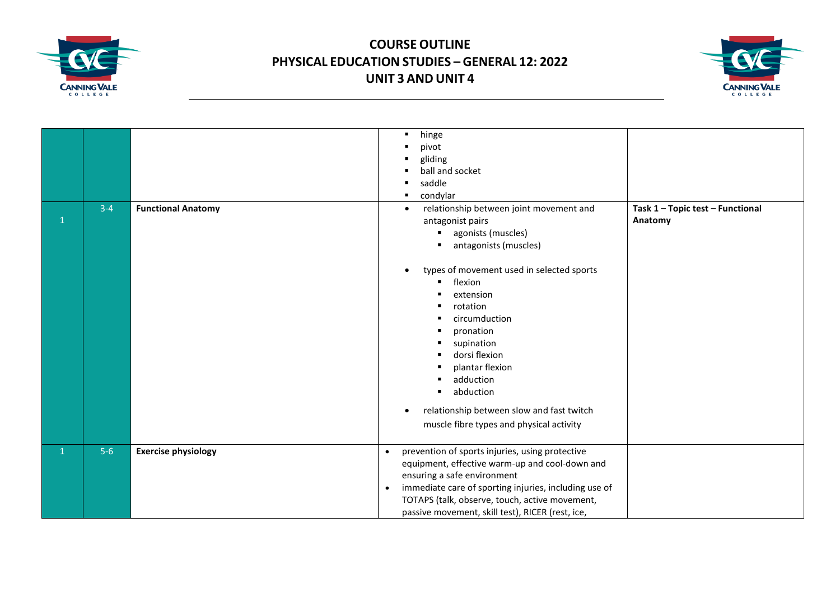



| $\mathbf{1}$ | $3 - 4$ | <b>Functional Anatomy</b>  | hinge<br>$\blacksquare$<br>pivot<br>gliding<br>л<br>ball and socket<br>п<br>saddle<br>condylar<br>Task 1 - Topic test - Functional<br>relationship between joint movement and<br>$\bullet$<br>Anatomy<br>antagonist pairs<br>agonists (muscles)<br>٠<br>antagonists (muscles)<br>types of movement used in selected sports<br>flexion<br>extension<br>rotation<br>circumduction<br>pronation<br>supination<br>dorsi flexion<br>plantar flexion<br>adduction<br>abduction<br>relationship between slow and fast twitch<br>$\bullet$<br>muscle fibre types and physical activity |
|--------------|---------|----------------------------|--------------------------------------------------------------------------------------------------------------------------------------------------------------------------------------------------------------------------------------------------------------------------------------------------------------------------------------------------------------------------------------------------------------------------------------------------------------------------------------------------------------------------------------------------------------------------------|
| $\mathbf{1}$ | $5-6$   | <b>Exercise physiology</b> | prevention of sports injuries, using protective<br>$\bullet$<br>equipment, effective warm-up and cool-down and<br>ensuring a safe environment<br>immediate care of sporting injuries, including use of<br>$\bullet$<br>TOTAPS (talk, observe, touch, active movement,<br>passive movement, skill test), RICER (rest, ice,                                                                                                                                                                                                                                                      |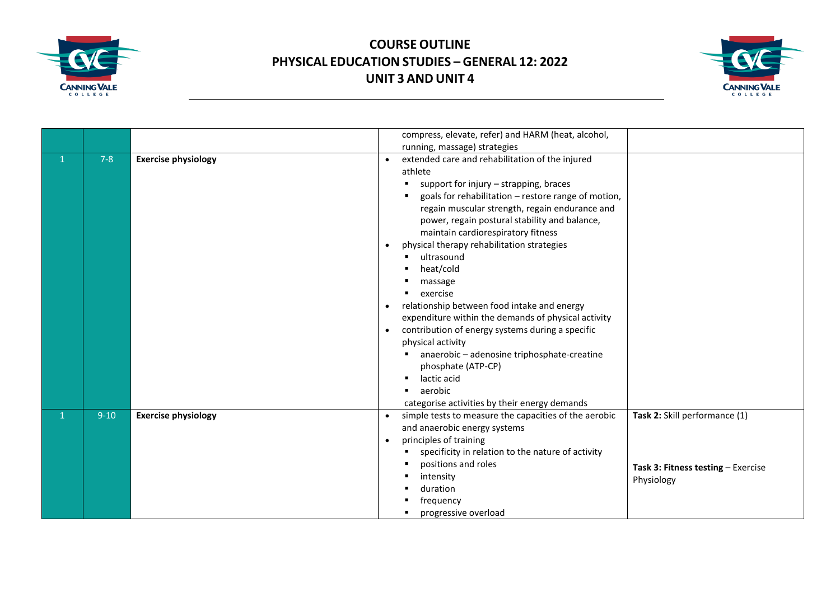



|              |         |                            | compress, elevate, refer) and HARM (heat, alcohol,                                                                                                                                                                                                                                                                                                                                                                                                                                                                                                                                                                                                                                                                                                                         |
|--------------|---------|----------------------------|----------------------------------------------------------------------------------------------------------------------------------------------------------------------------------------------------------------------------------------------------------------------------------------------------------------------------------------------------------------------------------------------------------------------------------------------------------------------------------------------------------------------------------------------------------------------------------------------------------------------------------------------------------------------------------------------------------------------------------------------------------------------------|
|              |         |                            | running, massage) strategies                                                                                                                                                                                                                                                                                                                                                                                                                                                                                                                                                                                                                                                                                                                                               |
| $\mathbf{1}$ | $7 - 8$ | <b>Exercise physiology</b> | extended care and rehabilitation of the injured<br>athlete<br>support for injury - strapping, braces<br>goals for rehabilitation - restore range of motion,<br>regain muscular strength, regain endurance and<br>power, regain postural stability and balance,<br>maintain cardiorespiratory fitness<br>physical therapy rehabilitation strategies<br>$\bullet$<br>ultrasound<br>heat/cold<br>massage<br>exercise<br>relationship between food intake and energy<br>$\bullet$<br>expenditure within the demands of physical activity<br>contribution of energy systems during a specific<br>$\bullet$<br>physical activity<br>anaerobic - adenosine triphosphate-creatine<br>phosphate (ATP-CP)<br>lactic acid<br>aerobic<br>categorise activities by their energy demands |
| $\mathbf{1}$ | $9-10$  | <b>Exercise physiology</b> | Task 2: Skill performance (1)<br>simple tests to measure the capacities of the aerobic<br>and anaerobic energy systems<br>principles of training<br>$\bullet$<br>specificity in relation to the nature of activity<br>positions and roles<br>Task 3: Fitness testing - Exercise<br>intensity<br>Physiology<br>duration<br>frequency<br>progressive overload                                                                                                                                                                                                                                                                                                                                                                                                                |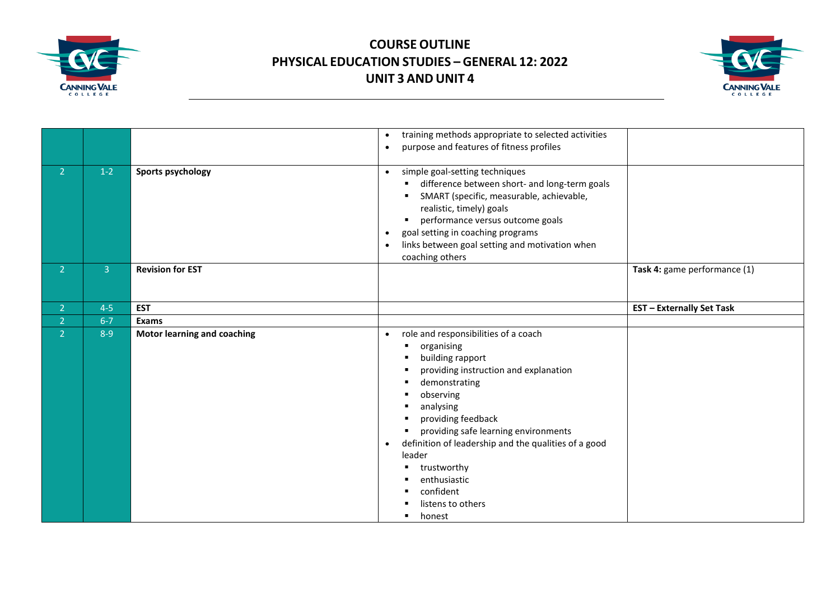



|                |                |                                    | training methods appropriate to selected activities<br>$\bullet$<br>purpose and features of fitness profiles<br>$\bullet$                                                                                                                                                                                                                                                                            |                                  |
|----------------|----------------|------------------------------------|------------------------------------------------------------------------------------------------------------------------------------------------------------------------------------------------------------------------------------------------------------------------------------------------------------------------------------------------------------------------------------------------------|----------------------------------|
| 2 <sup>1</sup> | $1-2$          | Sports psychology                  | simple goal-setting techniques<br>$\bullet$<br>difference between short- and long-term goals<br>SMART (specific, measurable, achievable,<br>realistic, timely) goals<br>performance versus outcome goals<br>٠<br>goal setting in coaching programs<br>$\bullet$<br>links between goal setting and motivation when<br>$\bullet$<br>coaching others                                                    |                                  |
| 2 <sup>1</sup> | 3 <sup>1</sup> | <b>Revision for EST</b>            |                                                                                                                                                                                                                                                                                                                                                                                                      | Task 4: game performance (1)     |
| 2 <sup>1</sup> | $4 - 5$        | <b>EST</b>                         |                                                                                                                                                                                                                                                                                                                                                                                                      | <b>EST</b> - Externally Set Task |
| 2 <sup>1</sup> | $6 - 7$        | Exams                              |                                                                                                                                                                                                                                                                                                                                                                                                      |                                  |
| $\overline{2}$ | $8 - 9$        | <b>Motor learning and coaching</b> | role and responsibilities of a coach<br>$\bullet$<br>organising<br>л<br>building rapport<br>providing instruction and explanation<br>demonstrating<br>observing<br>analysing<br>providing feedback<br>providing safe learning environments<br>definition of leadership and the qualities of a good<br>$\bullet$<br>leader<br>trustworthy<br>enthusiastic<br>confident<br>listens to others<br>honest |                                  |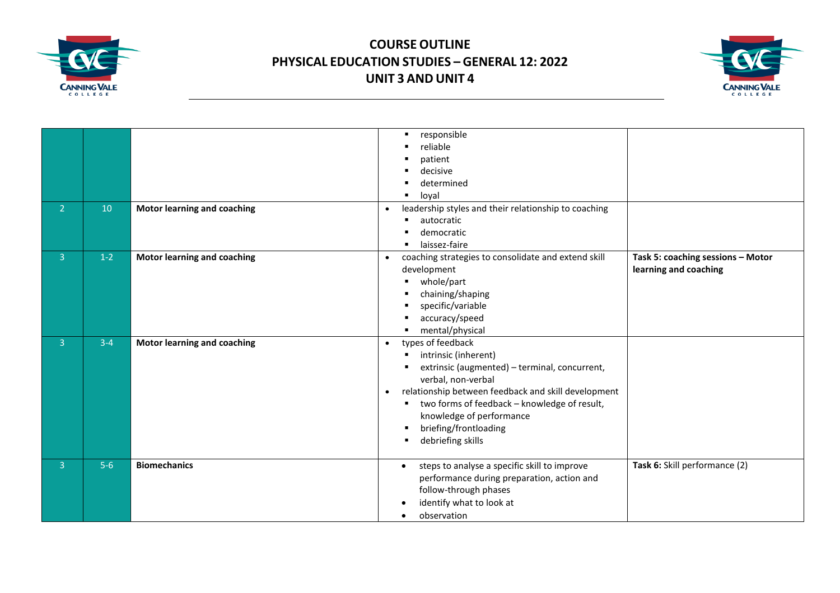



| 2 <sup>1</sup> | 10      | <b>Motor learning and coaching</b> | responsible<br>п<br>reliable<br>patient<br>decisive<br>determined<br>loval<br>leadership styles and their relationship to coaching<br>$\bullet$<br>autocratic<br>democratic<br>laissez-faire                                                                                                                                                       |                                                            |
|----------------|---------|------------------------------------|----------------------------------------------------------------------------------------------------------------------------------------------------------------------------------------------------------------------------------------------------------------------------------------------------------------------------------------------------|------------------------------------------------------------|
| $\overline{3}$ | $1-2$   | <b>Motor learning and coaching</b> | coaching strategies to consolidate and extend skill<br>$\bullet$<br>development<br>whole/part<br>chaining/shaping<br>specific/variable<br>accuracy/speed<br>mental/physical                                                                                                                                                                        | Task 5: coaching sessions - Motor<br>learning and coaching |
| 3 <sup>1</sup> | $3 - 4$ | <b>Motor learning and coaching</b> | types of feedback<br>$\bullet$<br>intrinsic (inherent)<br>п<br>extrinsic (augmented) - terminal, concurrent,<br>verbal, non-verbal<br>relationship between feedback and skill development<br>$\bullet$<br>two forms of feedback - knowledge of result,<br>$\blacksquare$<br>knowledge of performance<br>briefing/frontloading<br>debriefing skills |                                                            |
| $\overline{3}$ | $5-6$   | <b>Biomechanics</b>                | steps to analyse a specific skill to improve<br>$\bullet$<br>performance during preparation, action and<br>follow-through phases<br>identify what to look at<br>observation<br>$\bullet$                                                                                                                                                           | Task 6: Skill performance (2)                              |